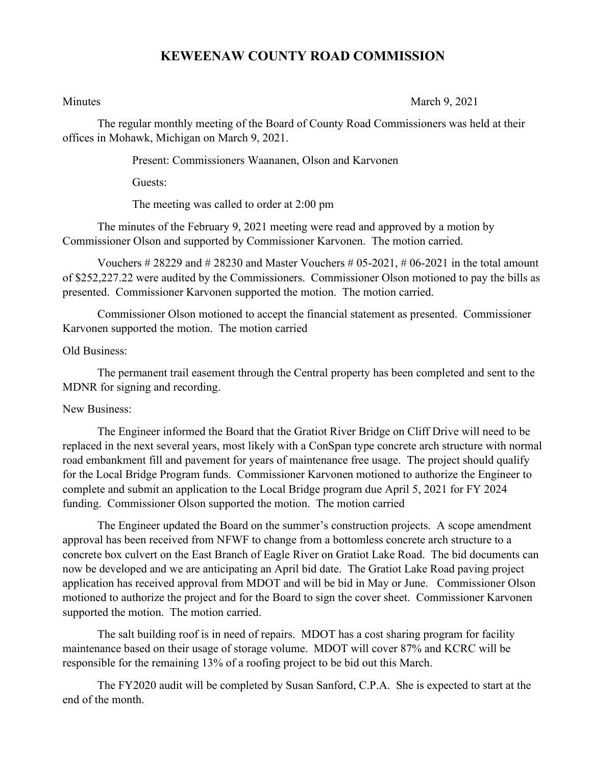## **KEWEENAW COUNTY ROAD COMMISSION**

Minutes March 9, 2021

The regular monthly meeting of the Board of County Road Commissioners was held at their offices in Mohawk, Michigan on March 9, 2021.

Present: Commissioners Waananen, Olson and Karvonen

Guests:

The meeting was called to order at 2:00 pm

The minutes of the February 9, 2021 meeting were read and approved by a motion by Commissioner Olson and supported by Commissioner Karvonen. The motion carried.

Vouchers  $\#28229$  and  $\#28230$  and Master Vouchers  $\#05-2021$ ,  $\#06-2021$  in the total amount of \$252,227.22 were audited by the Commissioners. Commissioner Olson motioned to pay the bills as presented. Commissioner Karvonen supported the motion. The motion carried.

Commissioner Olson motioned to accept the financial statement as presented. Commissioner Karvonen supported the motion. The motion carried

## Old Business:

The permanent trail easement through the Central property has been completed and sent to the MDNR for signing and recording.

## New Business:

The Engineer informed the Board that the Gratiot River Bridge on Cliff Drive will need to be replaced in the next several years, most likely with a ConSpan type concrete arch structure with normal road embankment fill and pavement for years of maintenance free usage. The project should qualify for the Local Bridge Program funds. Commissioner Karvonen motioned to authorize the Engineer to complete and submit an application to the Local Bridge program due April 5, 2021 for FY 2024 funding. Commissioner Olson supported the motion. The motion carried

The Engineer updated the Board on the summer's construction projects. A scope amendment approval has been received from NFWF to change from a bottomless concrete arch structure to a concrete box culvert on the East Branch of Eagle River on Gratiot Lake Road. The bid documents can now be developed and we are anticipating an April bid date. The Gratiot Lake Road paving project application has received approval from MDOT and will be bid in May or June. Commissioner Olson motioned to authorize the project and for the Board to sign the cover sheet. Commissioner Karvonen supported the motion. The motion carried.

The salt building roof is in need of repairs. MDOT has a cost sharing program for facility maintenance based on their usage of storage volume. MDOT will cover 87% and KCRC will be responsible for the remaining 13% of a roofing project to be bid out this March.

The FY2020 audit will be completed by Susan Sanford, C.P.A. She is expected to start at the end of the month.